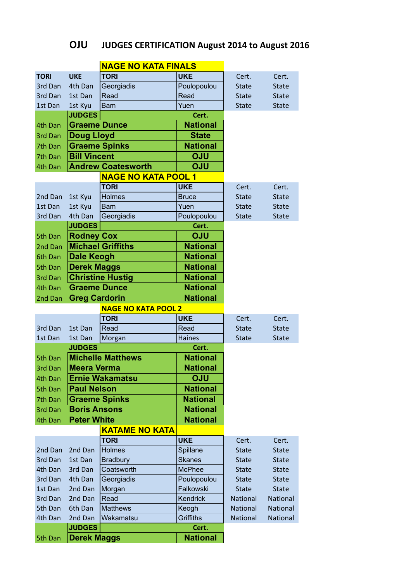## **OJU** JUDGES CERTIFICATION August 2014 to August 2016

|             |                                        | <b>NAGE NO KATA FINALS</b>              |                 |              |              |
|-------------|----------------------------------------|-----------------------------------------|-----------------|--------------|--------------|
| <b>TORI</b> | <b>UKE</b>                             | <b>TORI</b>                             | <b>UKE</b>      | Cert.        | Cert.        |
| 3rd Dan     | 4th Dan                                | Georgiadis                              | Poulopoulou     | <b>State</b> | <b>State</b> |
| 3rd Dan     | 1st Dan                                | Read                                    | Read            | <b>State</b> | <b>State</b> |
| 1st Dan     | 1st Kyu                                | <b>Bam</b>                              | Yuen            | <b>State</b> | <b>State</b> |
|             | <b>JUDGES</b>                          |                                         | Cert.           |              |              |
| 4th Dan     | <b>Graeme Dunce</b><br><b>National</b> |                                         |                 |              |              |
| 3rd Dan     | <b>Doug Lloyd</b>                      |                                         |                 |              |              |
| 7th Dan     |                                        | <b>Graeme Spinks</b><br><b>National</b> |                 |              |              |
| 7th Dan     | <b>Bill Vincent</b>                    |                                         | <b>OJU</b>      |              |              |
| 4th Dan     |                                        | <b>Andrew Coatesworth</b>               | <b>OJU</b>      |              |              |
|             |                                        | <b>NAGE NO KATA POOL 1</b>              |                 |              |              |
|             |                                        | <b>TORI</b>                             | <b>UKE</b>      | Cert.        | Cert.        |
| 2nd Dan     | 1st Kyu                                | <b>Holmes</b>                           | <b>Bruce</b>    | <b>State</b> | <b>State</b> |
| 1st Dan     | 1st Kyu                                | <b>Bam</b>                              | Yuen            | <b>State</b> | <b>State</b> |
| 3rd Dan     | 4th Dan                                | Georgiadis                              | Poulopoulou     | <b>State</b> | <b>State</b> |
|             | <b>JUDGES</b>                          |                                         | Cert.           |              |              |
| 5th Dan     | <b>Rodney Cox</b>                      |                                         | <b>OJU</b>      |              |              |
| 2nd Dan     |                                        | <b>Michael Griffiths</b>                | <b>National</b> |              |              |
| 6th Dan     | <b>Dale Keogh</b>                      |                                         | <b>National</b> |              |              |
| 5th Dan     | <b>Derek Maggs</b>                     |                                         | <b>National</b> |              |              |
| 3rd Dan     |                                        | <b>Christine Hustig</b>                 | <b>National</b> |              |              |
| 4th Dan     | <b>Graeme Dunce</b><br><b>National</b> |                                         |                 |              |              |
| 2nd Dan     |                                        | <b>National</b><br><b>Greg Cardorin</b> |                 |              |              |
|             |                                        | <b>NAGE NO KATA POOL 2</b>              |                 |              |              |
|             |                                        | <b>TORI</b>                             | <b>UKE</b>      | Cert.        | Cert.        |
| 3rd Dan     | 1st Dan                                | Read                                    | Read            | <b>State</b> | <b>State</b> |
| 1st Dan     | 1st Dan                                | Morgan                                  | <b>Haines</b>   | <b>State</b> | <b>State</b> |
|             | <b>JUDGES</b>                          |                                         |                 |              |              |
| 5th Dan     | <b>Michelle Matthews</b>               |                                         | <b>National</b> |              |              |
| 3rd Dan     | <b>Meera Verma</b>                     |                                         | <b>National</b> |              |              |
| 4th Dan     | <b>Ernie Wakamatsu</b>                 |                                         | <b>OJU</b>      |              |              |
| 5th Dan     | <b>Paul Nelson</b>                     |                                         | <b>National</b> |              |              |
| 7th Dan     | <b>Graeme Spinks</b>                   |                                         | <b>National</b> |              |              |
| 3rd Dan     | <b>Boris Ansons</b>                    |                                         | <b>National</b> |              |              |
| 4th Dan     | <b>Peter White</b>                     |                                         | <b>National</b> |              |              |
|             |                                        | <b>KATAME NO KATA</b>                   |                 |              |              |
|             |                                        | <b>TORI</b>                             | <b>UKE</b>      | Cert.        | Cert.        |
| 2nd Dan     | 2nd Dan                                | <b>Holmes</b>                           | Spillane        | <b>State</b> | <b>State</b> |
| 3rd Dan     | 1st Dan                                | <b>Bradbury</b>                         | <b>Skanes</b>   | <b>State</b> | <b>State</b> |
| 4th Dan     | 3rd Dan                                | Coatsworth                              | <b>McPhee</b>   | <b>State</b> | <b>State</b> |
| 3rd Dan     | 4th Dan                                | Georgiadis                              | Poulopoulou     | <b>State</b> | <b>State</b> |
| 1st Dan     | 2nd Dan                                | Morgan                                  | Falkowski       | <b>State</b> | <b>State</b> |
| 3rd Dan     | 2nd Dan                                | Read                                    | Kendrick        | National     | National     |
| 5th Dan     | 6th Dan                                | <b>Matthews</b>                         | Keogh           | National     | National     |
| 4th Dan     | 2nd Dan                                | Wakamatsu                               | Griffiths       | National     | National     |
|             | <b>JUDGES</b>                          |                                         | Cert.           |              |              |
| 5th Dan     | <b>Derek Maggs</b>                     |                                         | <b>National</b> |              |              |